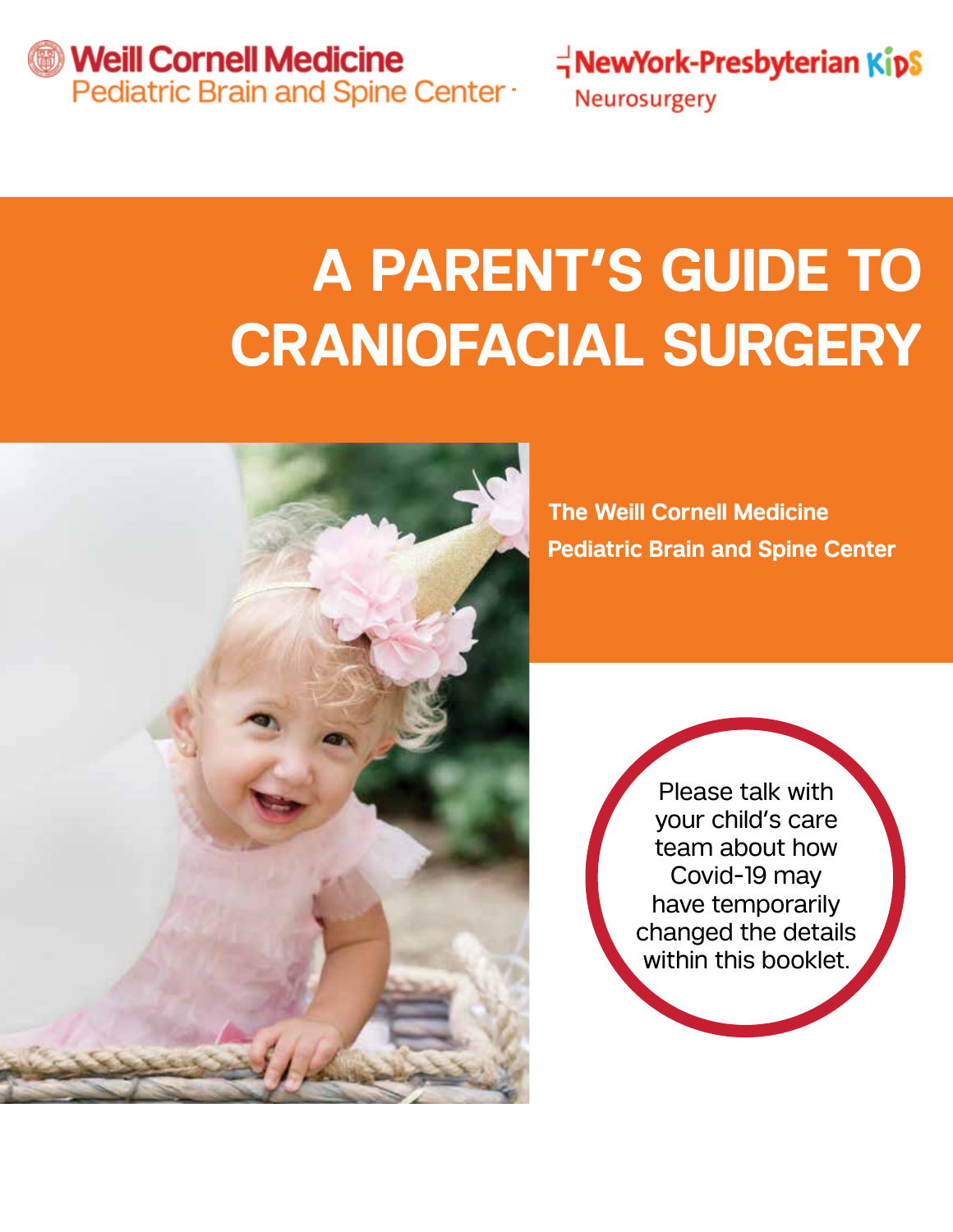*S* Weill Cornell Medicine Pediatric Brain and Spine Center -  $\vec{q}$ NewYork-Presbyterian KipS

Neurosurgery

# **A PARENT'S GUIDE TO CRANIOFACIAL SURGERY**



**The Weill Cornell Medicine Pediatric Brain and Spine Center** 

> Please talk with your child's care team about how Covid-19 may have temporarily changed the details within this booklet.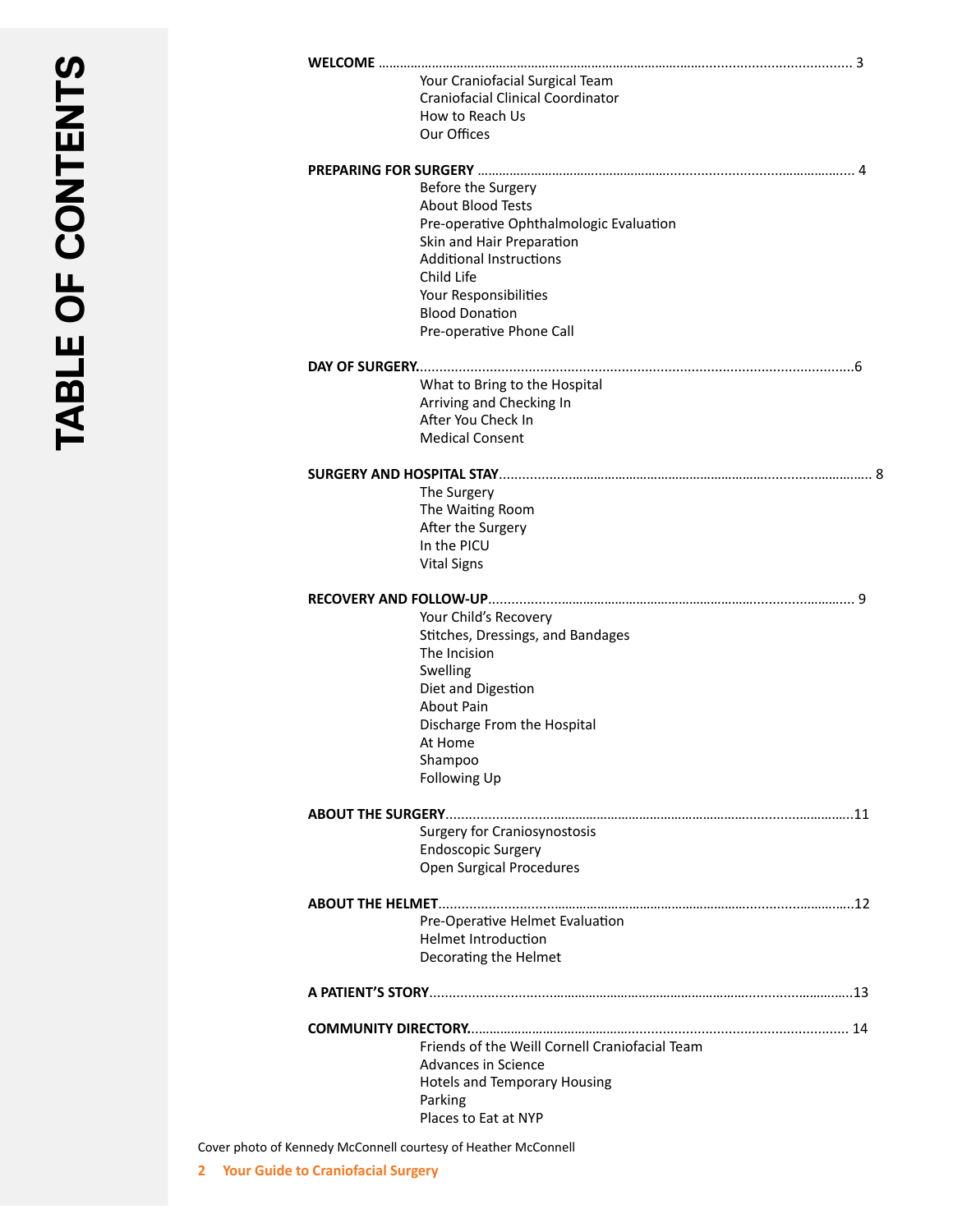| Your Craniofacial Surgical Team<br><b>Craniofacial Clinical Coordinator</b> |
|-----------------------------------------------------------------------------|
| How to Reach Us                                                             |
| Our Offices                                                                 |
|                                                                             |
| Before the Surgery                                                          |
| <b>About Blood Tests</b>                                                    |
| Pre-operative Ophthalmologic Evaluation                                     |
| Skin and Hair Preparation<br><b>Additional Instructions</b>                 |
| Child Life                                                                  |
| Your Responsibilities                                                       |
| <b>Blood Donation</b>                                                       |
| Pre-operative Phone Call                                                    |
|                                                                             |
| What to Bring to the Hospital                                               |
| Arriving and Checking In                                                    |
| After You Check In                                                          |
| <b>Medical Consent</b>                                                      |
|                                                                             |
| The Surgery                                                                 |
| The Waiting Room                                                            |
| After the Surgery<br>In the PICU                                            |
| <b>Vital Signs</b>                                                          |
|                                                                             |
|                                                                             |
| Your Child's Recovery                                                       |
| Stitches, Dressings, and Bandages                                           |
| The Incision<br>Swelling                                                    |
| Diet and Digestion                                                          |
| <b>About Pain</b>                                                           |
| Discharge From the Hospital                                                 |
| At Home                                                                     |
| Shampoo                                                                     |
| Following Up                                                                |
|                                                                             |
| <b>Surgery for Craniosynostosis</b>                                         |
| <b>Endoscopic Surgery</b>                                                   |
| <b>Open Surgical Procedures</b>                                             |
|                                                                             |
| Pre-Operative Helmet Evaluation                                             |
| <b>Helmet Introduction</b>                                                  |
| Decorating the Helmet                                                       |
|                                                                             |
|                                                                             |
| Friends of the Weill Cornell Craniofacial Team                              |
| Advances in Science                                                         |
| <b>Hotels and Temporary Housing</b>                                         |
| Parking                                                                     |
| Places to Eat at NYP                                                        |
|                                                                             |

Cover photo of Kennedy McConnell courtesy of Heather McConnell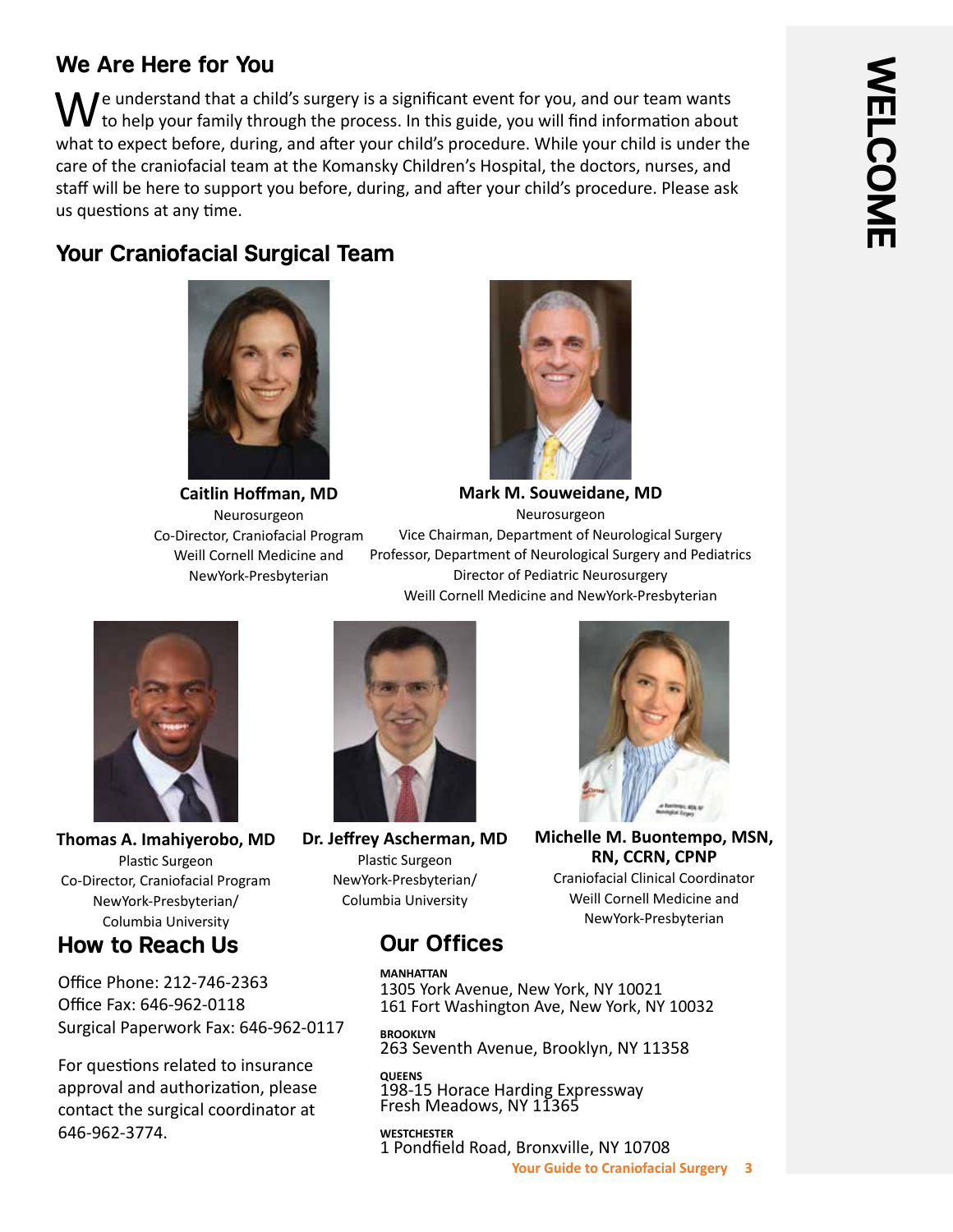## **We Are Here for You**

 $\Box$   $\Box$  e understand that a child's surgery is a significant event for you, and our team wants to help your family through the process. In this guide, you will find information about what to expect before, during, and after your child's procedure. While your child is under the care of the craniofacial team at the Komansky Children's Hospital, the doctors, nurses, and staff will be here to support you before, during, and after your child's procedure. Please ask us questions at any time.

# **Your Craniofacial Surgical Team**



**Caitlin Hoffman, MD** Neurosurgeon Co-Director, Craniofacial Program Weill Cornell Medicine and NewYork-Presbyterian



**Mark M. Souweidane, MD** Neurosurgeon

Vice Chairman, Department of Neurological Surgery Professor, Department of Neurological Surgery and Pediatrics Director of Pediatric Neurosurgery Weill Cornell Medicine and NewYork-Presbyterian



**Thomas A. Imahiyerobo, MD** Plastic Surgeon Co-Director, Craniofacial Program NewYork-Presbyterian/ Columbia University

# **How to Reach Us**

Office Phone: 212-746-2363 Office Fax: 646-962-0118 Surgical Paperwork Fax: 646-962-0117

For questions related to insurance approval and authorization, please contact the surgical coordinator at 646-962-3774.



**Dr. Jeffrey Ascherman, MD** Plastic Surgeon NewYork-Presbyterian/ Columbia University



**Michelle M. Buontempo, MSN, RN, CCRN, CPNP**

Craniofacial Clinical Coordinator Weill Cornell Medicine and NewYork-Presbyterian

# **Our Offices**

**MANHATTAN** 1305 York Avenue, New York, NY 10021 161 Fort Washington Ave, New York, NY 10032

**BROOKLYN** 263 Seventh Avenue, Brooklyn, NY 11358

**QUEENS** 198-15 Horace Harding Expressway Fresh Meadows, NY 11365

**WESTCHESTER** 1 Pondfield Road, Bronxville, NY 10708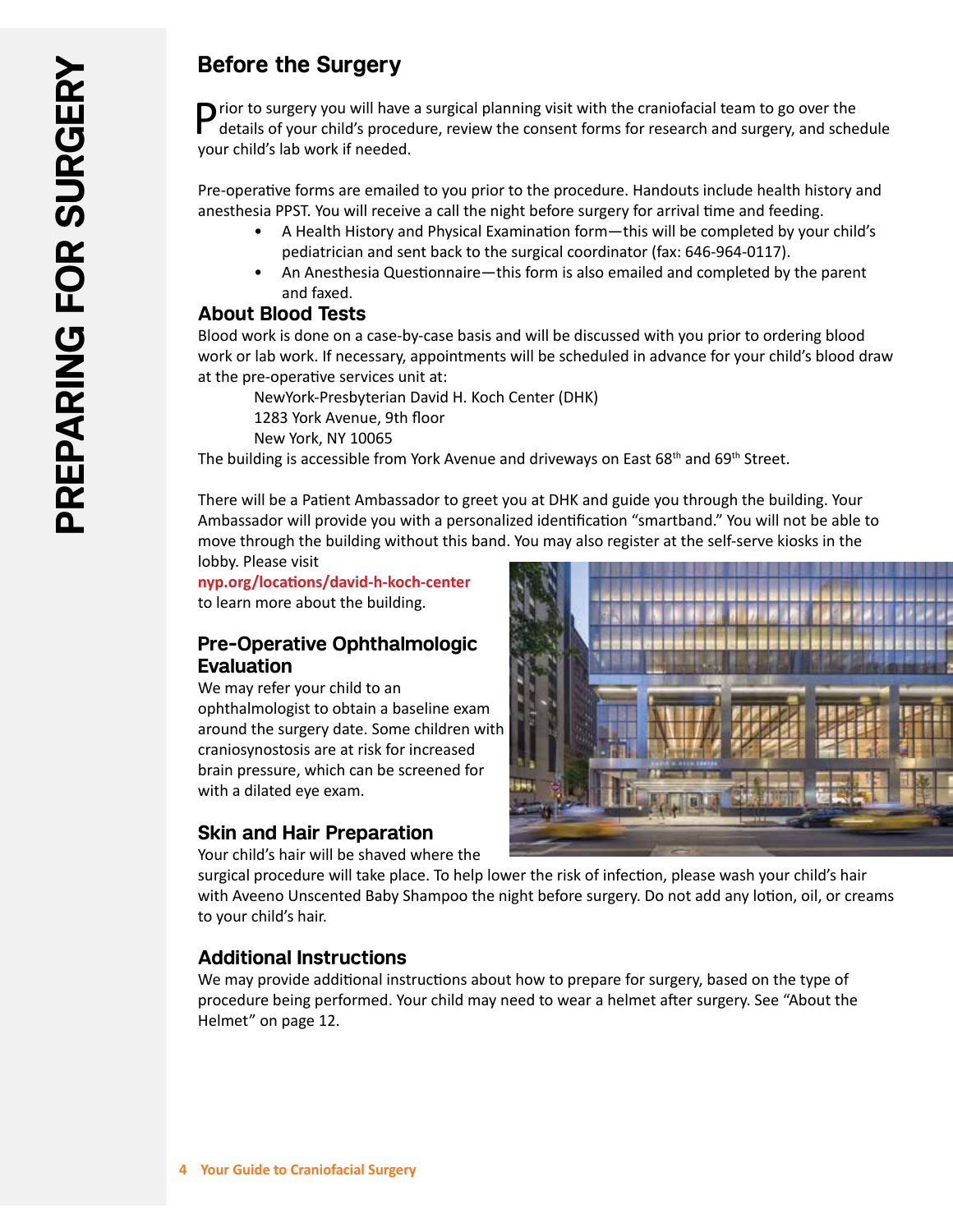# **Before the Surgery**

 $\bigcap$  rior to surgery you will have a surgical planning visit with the craniofacial team to go over the details of your child's procedure, review the consent forms for research and surgery, and schedule your child's lab work if needed.

Pre-operative forms are emailed to you prior to the procedure. Handouts include health history and anesthesia PPST. You will receive a call the night before surgery for arrival time and feeding.

- A Health History and Physical Examination form—this will be completed by your child's pediatrician and sent back to the surgical coordinator (fax: 646-964-0117).
- An Anesthesia Questionnaire—this form is also emailed and completed by the parent and faxed.

#### **About Blood Tests**

Blood work is done on a case-by-case basis and will be discussed with you prior to ordering blood work or lab work. If necessary, appointments will be scheduled in advance for your child's blood draw at the pre-operative services unit at:

NewYork-Presbyterian David H. Koch Center (DHK)

1283 York Avenue, 9th floor New York, NY 10065

The building is accessible from York Avenue and driveways on East  $68<sup>th</sup>$  and  $69<sup>th</sup>$  Street.

There will be a Patient Ambassador to greet you at DHK and guide you through the building. Your Ambassador will provide you with a personalized identification "smartband." You will not be able to move through the building without this band. You may also register at the self-serve kiosks in the lobby. Please visit

**nyp.org/locations/david-h-koch-center** 

to learn more about the building.

## **Pre-Operative Ophthalmologic Evaluation**

We may refer your child to an ophthalmologist to obtain a baseline exam around the surgery date. Some children with craniosynostosis are at risk for increased brain pressure, which can be screened for with a dilated eye exam.

## **Skin and Hair Preparation**

Your child's hair will be shaved where the

surgical procedure will take place. To help lower the risk of infection, please wash your child's hair with Aveeno Unscented Baby Shampoo the night before surgery. Do not add any lotion, oil, or creams to your child's hair.

## **Additional Instructions**

We may provide additional instructions about how to prepare for surgery, based on the type of procedure being performed. Your child may need to wear a helmet after surgery. See "About the Helmet" on page 12.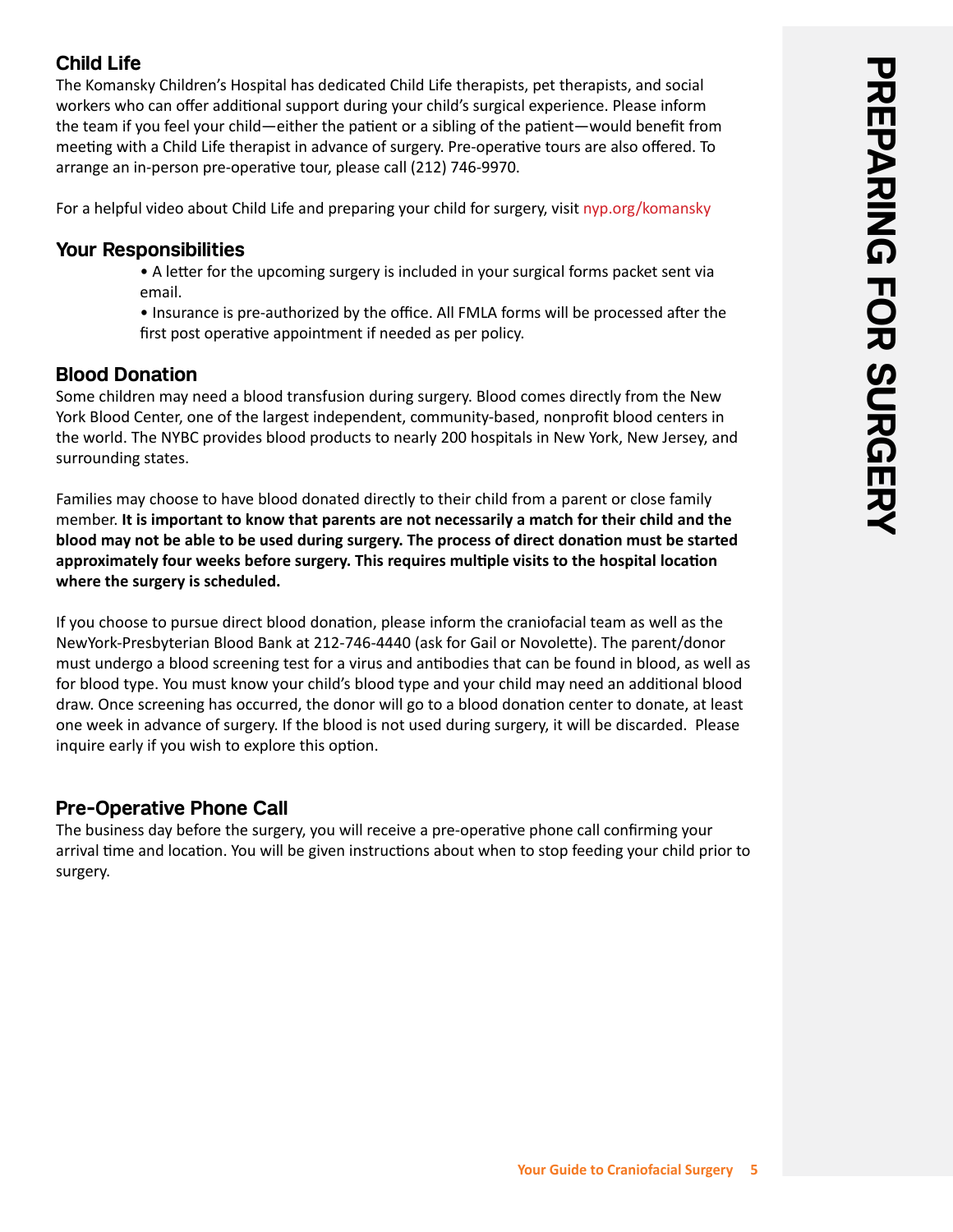## **Child Life**

The Komansky Children's Hospital has dedicated Child Life therapists, pet therapists, and social workers who can offer additional support during your child's surgical experience. Please inform the team if you feel your child—either the patient or a sibling of the patient—would benefit from meeting with a Child Life therapist in advance of surgery. Pre-operative tours are also offered. To arrange an in-person pre-operative tour, please call (212) 746-9970.

For a helpful video about Child Life and preparing your child for surgery, visit nyp.org/komansky

#### **Your Responsibilities**

- A letter for the upcoming surgery is included in your surgical forms packet sent via email.
- Insurance is pre-authorized by the office. All FMLA forms will be processed after the first post operative appointment if needed as per policy.

## **Blood Donation**

Some children may need a blood transfusion during surgery. Blood comes directly from the New York Blood Center, one of the largest independent, community-based, nonprofit blood centers in the world. The NYBC provides blood products to nearly 200 hospitals in New York, New Jersey, and surrounding states.

Families may choose to have blood donated directly to their child from a parent or close family member. **It is important to know that parents are not necessarily a match for their child and the blood may not be able to be used during surgery. The process of direct donation must be started approximately four weeks before surgery. This requires multiple visits to the hospital location where the surgery is scheduled.**

If you choose to pursue direct blood donation, please inform the craniofacial team as well as the NewYork-Presbyterian Blood Bank at 212-746-4440 (ask for Gail or Novolette). The parent/donor must undergo a blood screening test for a virus and antibodies that can be found in blood, as well as for blood type. You must know your child's blood type and your child may need an additional blood draw. Once screening has occurred, the donor will go to a blood donation center to donate, at least one week in advance of surgery. If the blood is not used during surgery, it will be discarded. Please inquire early if you wish to explore this option.

## **Pre-Operative Phone Call**

The business day before the surgery, you will receive a pre-operative phone call confirming your arrival time and location. You will be given instructions about when to stop feeding your child prior to surgery.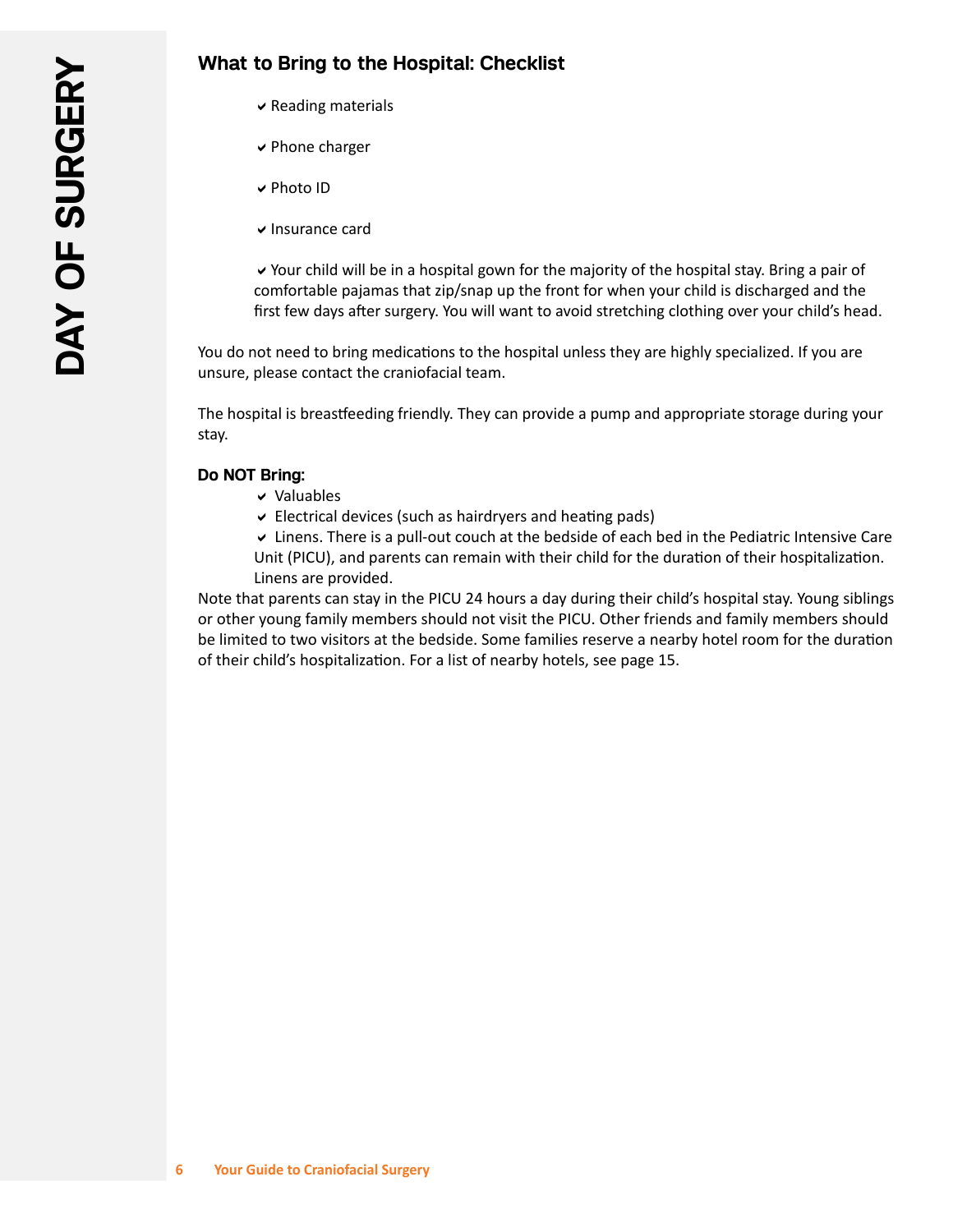- $\vee$  Reading materials
- $\vee$  Phone charger
- **v** Photo ID
- $\vee$  Insurance card

 $\vee$  Your child will be in a hospital gown for the majority of the hospital stay. Bring a pair of comfortable pajamas that zip/snap up the front for when your child is discharged and the first few days after surgery. You will want to avoid stretching clothing over your child's head.

You do not need to bring medications to the hospital unless they are highly specialized. If you are unsure, please contact the craniofacial team.

The hospital is breastfeeding friendly. They can provide a pump and appropriate storage during your stay.

#### **Do NOT Bring:**

- $\vee$  Valuables
- $\vee$  Electrical devices (such as hairdryers and heating pads)

 $\vee$  Linens. There is a pull-out couch at the bedside of each bed in the Pediatric Intensive Care Unit (PICU), and parents can remain with their child for the duration of their hospitalization. Linens are provided.

Note that parents can stay in the PICU 24 hours a day during their child's hospital stay. Young siblings or other young family members should not visit the PICU. Other friends and family members should be limited to two visitors at the bedside. Some families reserve a nearby hotel room for the duration of their child's hospitalization. For a list of nearby hotels, see page 15.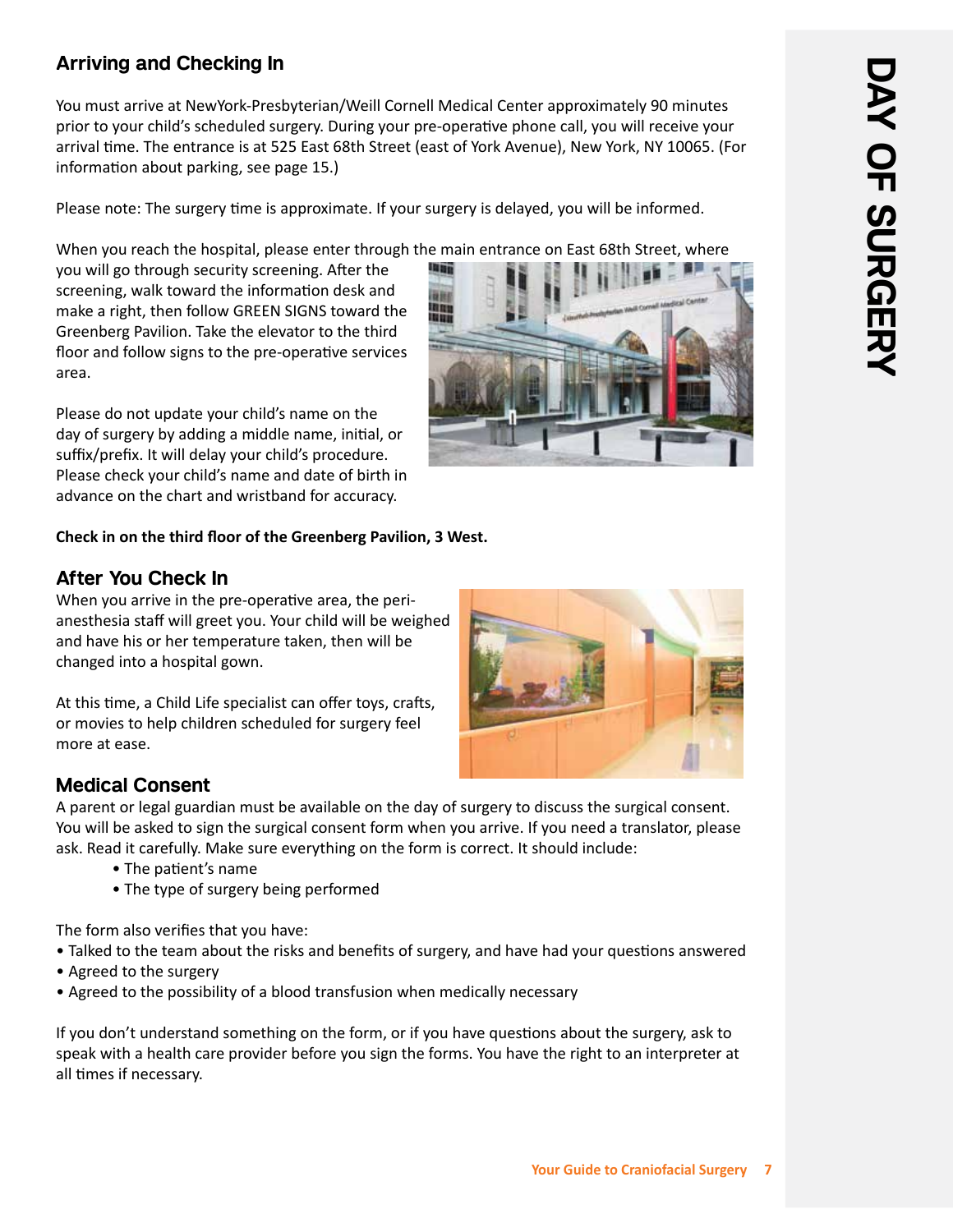## **Arriving and Checking In**

You must arrive at NewYork-Presbyterian/Weill Cornell Medical Center approximately 90 minutes prior to your child's scheduled surgery. During your pre-operative phone call, you will receive your arrival time. The entrance is at 525 East 68th Street (east of York Avenue), New York, NY 10065. (For information about parking, see page 15.)

Please note: The surgery time is approximate. If your surgery is delayed, you will be informed.

When you reach the hospital, please enter through the main entrance on East 68th Street, where

you will go through security screening. After the screening, walk toward the information desk and make a right, then follow GREEN SIGNS toward the Greenberg Pavilion. Take the elevator to the third floor and follow signs to the pre-operative services area.

Please do not update your child's name on the day of surgery by adding a middle name, initial, or suffix/prefix. It will delay your child's procedure. Please check your child's name and date of birth in advance on the chart and wristband for accuracy.

#### **Check in on the third floor of the Greenberg Pavilion, 3 West.**

#### **After You Check In**

When you arrive in the pre-operative area, the perianesthesia staff will greet you. Your child will be weighed and have his or her temperature taken, then will be changed into a hospital gown.

At this time, a Child Life specialist can offer toys, crafts, or movies to help children scheduled for surgery feel more at ease.

## **Medical Consent**

A parent or legal guardian must be available on the day of surgery to discuss the surgical consent. You will be asked to sign the surgical consent form when you arrive. If you need a translator, please ask. Read it carefully. Make sure everything on the form is correct. It should include:

- The patient's name
- The type of surgery being performed

The form also verifies that you have:

- Talked to the team about the risks and benefits of surgery, and have had your questions answered
- Agreed to the surgery
- Agreed to the possibility of a blood transfusion when medically necessary

If you don't understand something on the form, or if you have questions about the surgery, ask to speak with a health care provider before you sign the forms. You have the right to an interpreter at all times if necessary.



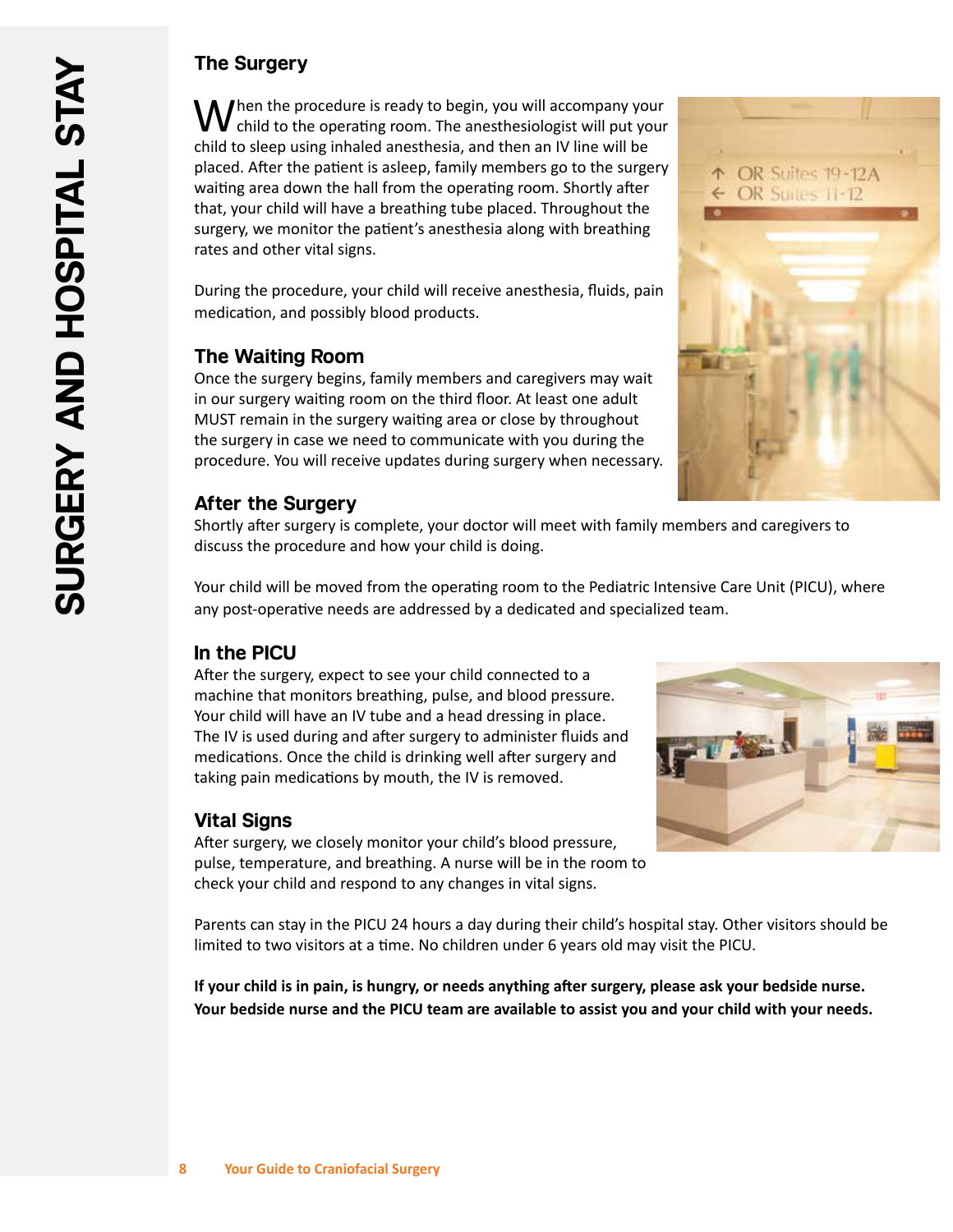## **The Surgery**

 $\sqrt{\phantom{a}}$  hen the procedure is ready to begin, you will accompany your child to the operating room. The anesthesiologist will put your child to sleep using inhaled anesthesia, and then an IV line will be placed. After the patient is asleep, family members go to the surgery waiting area down the hall from the operating room. Shortly after that, your child will have a breathing tube placed. Throughout the surgery, we monitor the patient's anesthesia along with breathing rates and other vital signs.

During the procedure, your child will receive anesthesia, fluids, pain medication, and possibly blood products.

## **The Waiting Room**

Once the surgery begins, family members and caregivers may wait in our surgery waiting room on the third floor. At least one adult MUST remain in the surgery waiting area or close by throughout the surgery in case we need to communicate with you during the procedure. You will receive updates during surgery when necessary.



## **After the Surgery**

Shortly after surgery is complete, your doctor will meet with family members and caregivers to discuss the procedure and how your child is doing.

Your child will be moved from the operating room to the Pediatric Intensive Care Unit (PICU), where any post-operative needs are addressed by a dedicated and specialized team.

## **In the PICU**

After the surgery, expect to see your child connected to a machine that monitors breathing, pulse, and blood pressure. Your child will have an IV tube and a head dressing in place. The IV is used during and after surgery to administer fluids and medications. Once the child is drinking well after surgery and taking pain medications by mouth, the IV is removed.

## **Vital Signs**

After surgery, we closely monitor your child's blood pressure, pulse, temperature, and breathing. A nurse will be in the room to check your child and respond to any changes in vital signs.



Parents can stay in the PICU 24 hours a day during their child's hospital stay. Other visitors should be limited to two visitors at a time. No children under 6 years old may visit the PICU.

**If your child is in pain, is hungry, or needs anything after surgery, please ask your bedside nurse. Your bedside nurse and the PICU team are available to assist you and your child with your needs.**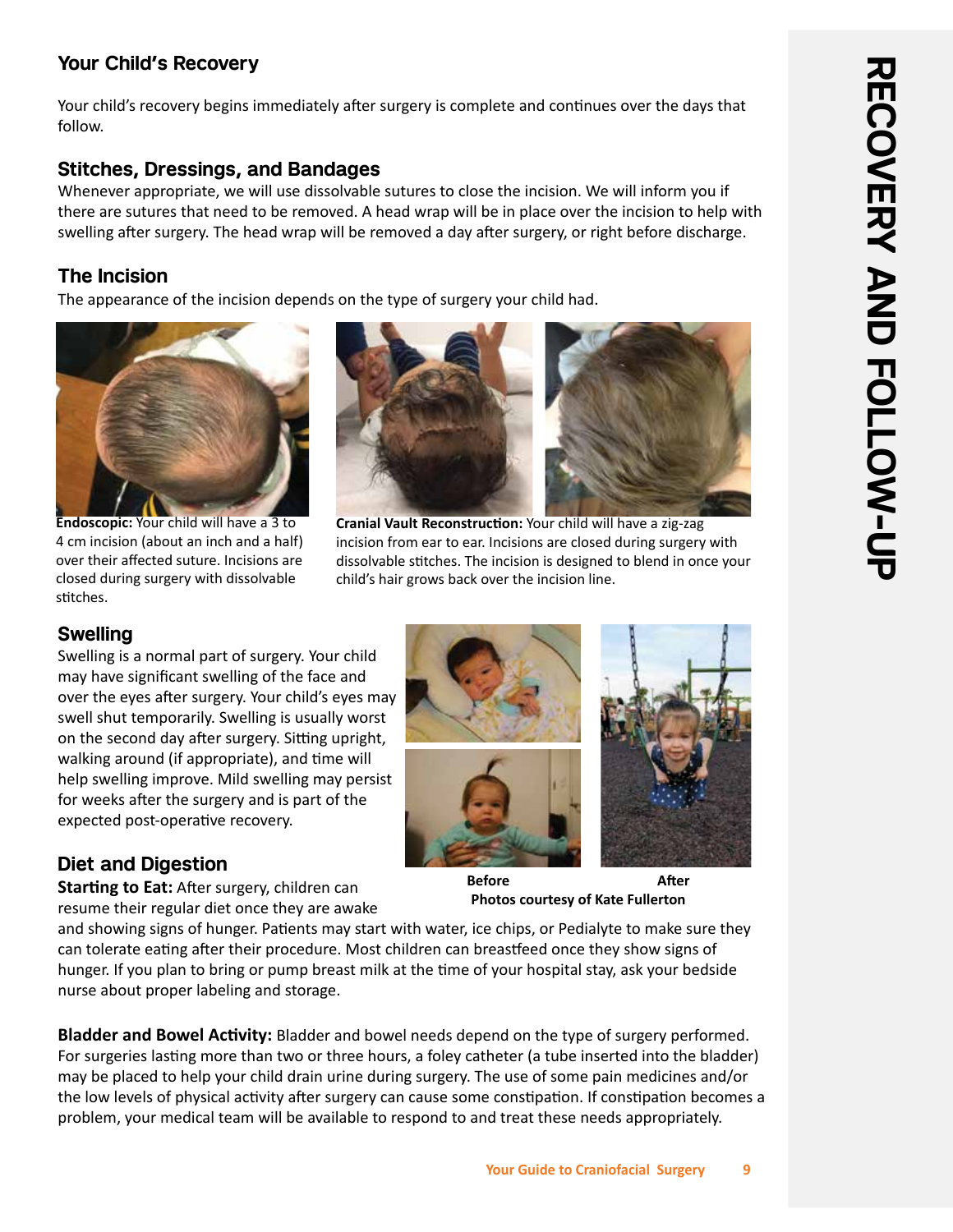## **Your Child's Recovery**

Your child's recovery begins immediately after surgery is complete and continues over the days that follow.

## **Stitches, Dressings, and Bandages**

Whenever appropriate, we will use dissolvable sutures to close the incision. We will inform you if there are sutures that need to be removed. A head wrap will be in place over the incision to help with swelling after surgery. The head wrap will be removed a day after surgery, or right before discharge.

## **The Incision**

The appearance of the incision depends on the type of surgery your child had.



**Endoscopic:** Your child will have a 3 to 4 cm incision (about an inch and a half) over their affected suture. Incisions are closed during surgery with dissolvable stitches.



**Cranial Vault Reconstruction:** Your child will have a zig-zag incision from ear to ear. Incisions are closed during surgery with dissolvable stitches. The incision is designed to blend in once your child's hair grows back over the incision line.

## **Swelling**

Swelling is a normal part of surgery. Your child may have significant swelling of the face and over the eyes after surgery. Your child's eyes may swell shut temporarily. Swelling is usually worst on the second day after surgery. Sitting upright, walking around (if appropriate), and time will help swelling improve. Mild swelling may persist for weeks after the surgery and is part of the expected post-operative recovery.

## **Diet and Digestion**

**Starting to Eat:** After surgery, children can resume their regular diet once they are awake





**Before After Photos courtesy of Kate Fullerton**

and showing signs of hunger. Patients may start with water, ice chips, or Pedialyte to make sure they can tolerate eating after their procedure. Most children can breastfeed once they show signs of hunger. If you plan to bring or pump breast milk at the time of your hospital stay, ask your bedside nurse about proper labeling and storage.

**Bladder and Bowel Activity:** Bladder and bowel needs depend on the type of surgery performed. For surgeries lasting more than two or three hours, a foley catheter (a tube inserted into the bladder) may be placed to help your child drain urine during surgery. The use of some pain medicines and/or the low levels of physical activity after surgery can cause some constipation. If constipation becomes a problem, your medical team will be available to respond to and treat these needs appropriately.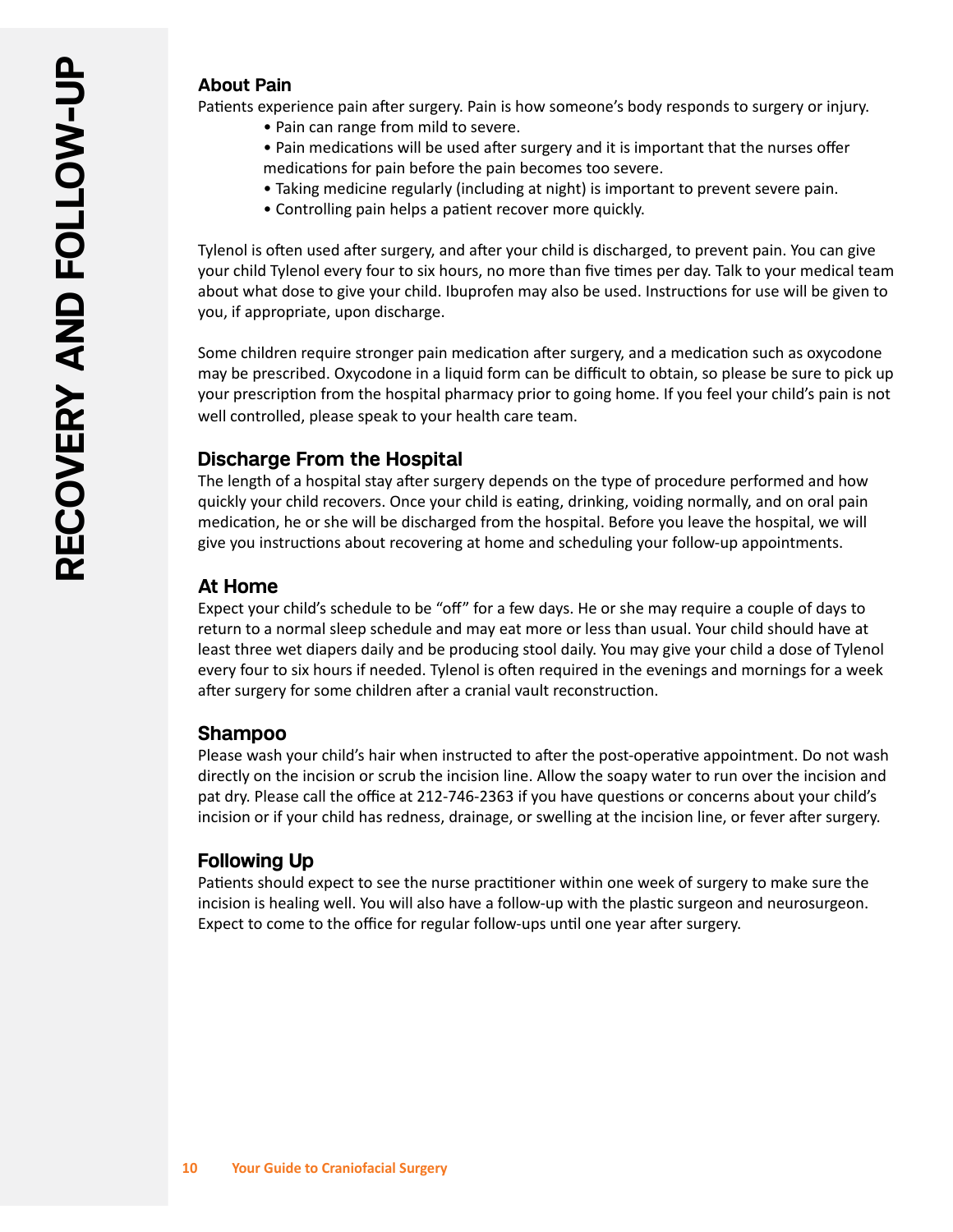#### **About Pain**

Patients experience pain after surgery. Pain is how someone's body responds to surgery or injury.

- Pain can range from mild to severe.
- Pain medications will be used after surgery and it is important that the nurses offer medications for pain before the pain becomes too severe.
- Taking medicine regularly (including at night) is important to prevent severe pain.
- Controlling pain helps a patient recover more quickly.

Tylenol is often used after surgery, and after your child is discharged, to prevent pain. You can give your child Tylenol every four to six hours, no more than five times per day. Talk to your medical team about what dose to give your child. Ibuprofen may also be used. Instructions for use will be given to you, if appropriate, upon discharge.

Some children require stronger pain medication after surgery, and a medication such as oxycodone may be prescribed. Oxycodone in a liquid form can be difficult to obtain, so please be sure to pick up your prescription from the hospital pharmacy prior to going home. If you feel your child's pain is not well controlled, please speak to your health care team.

#### **Discharge From the Hospital**

The length of a hospital stay after surgery depends on the type of procedure performed and how quickly your child recovers. Once your child is eating, drinking, voiding normally, and on oral pain medication, he or she will be discharged from the hospital. Before you leave the hospital, we will give you instructions about recovering at home and scheduling your follow-up appointments.

#### **At Home**

Expect your child's schedule to be "off" for a few days. He or she may require a couple of days to return to a normal sleep schedule and may eat more or less than usual. Your child should have at least three wet diapers daily and be producing stool daily. You may give your child a dose of Tylenol every four to six hours if needed. Tylenol is often required in the evenings and mornings for a week after surgery for some children after a cranial vault reconstruction.

#### **Shampoo**

Please wash your child's hair when instructed to after the post-operative appointment. Do not wash directly on the incision or scrub the incision line. Allow the soapy water to run over the incision and pat dry. Please call the office at 212-746-2363 if you have questions or concerns about your child's incision or if your child has redness, drainage, or swelling at the incision line, or fever after surgery.

#### **Following Up**

Patients should expect to see the nurse practitioner within one week of surgery to make sure the incision is healing well. You will also have a follow-up with the plastic surgeon and neurosurgeon. Expect to come to the office for regular follow-ups until one year after surgery.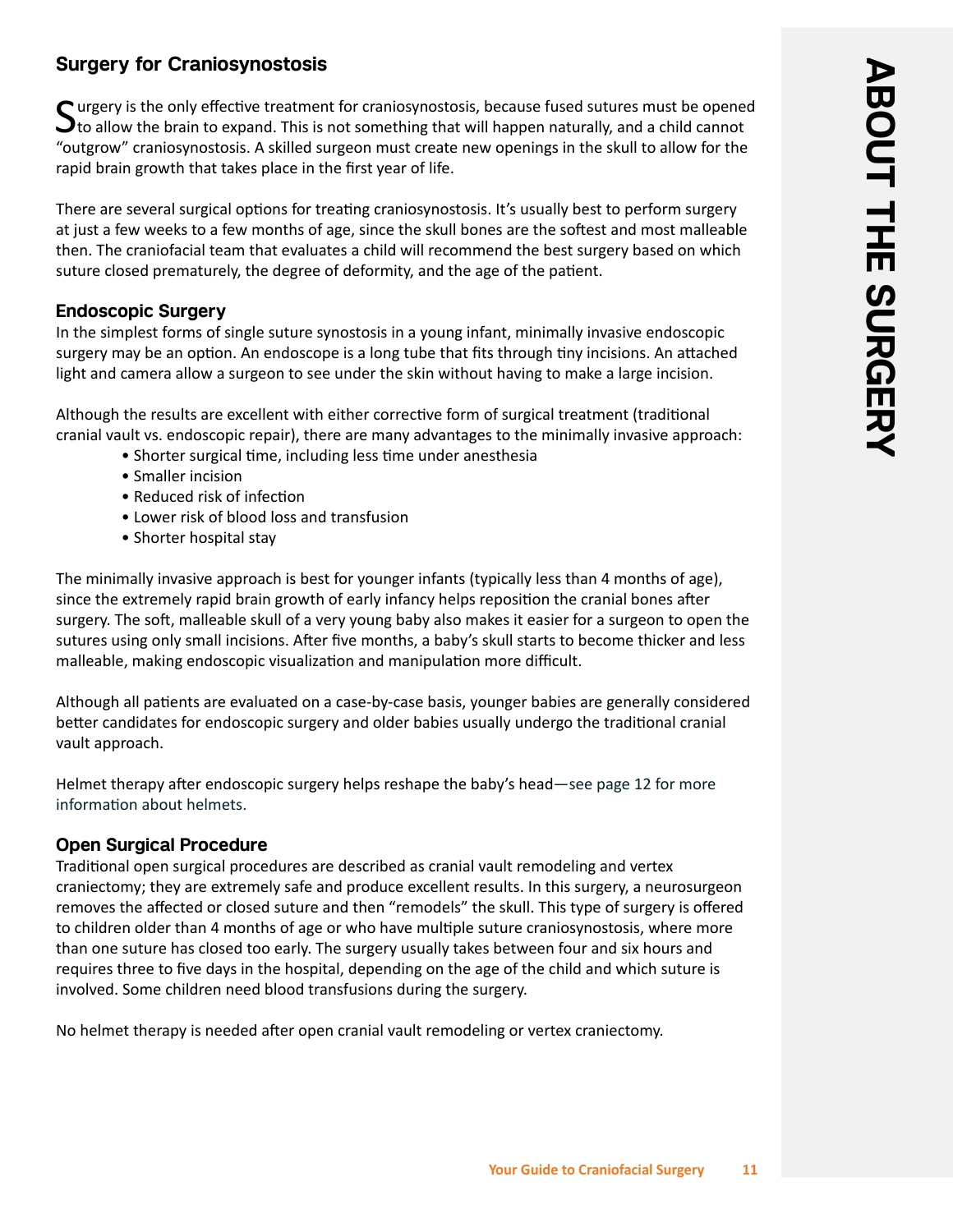## **Surgery for Craniosynostosis**

Curgery is the only effective treatment for craniosynostosis, because fused sutures must be opened  $\mathbf{\bigcup}$  to allow the brain to expand. This is not something that will happen naturally, and a child cannot "outgrow" craniosynostosis. A skilled surgeon must create new openings in the skull to allow for the rapid brain growth that takes place in the first year of life.

There are several surgical options for treating craniosynostosis. It's usually best to perform surgery at just a few weeks to a few months of age, since the skull bones are the softest and most malleable then. The craniofacial team that evaluates a child will recommend the best surgery based on which suture closed prematurely, the degree of deformity, and the age of the patient.

#### **Endoscopic Surgery**

In the simplest forms of single suture synostosis in a young infant, minimally invasive endoscopic surgery may be an option. An endoscope is a long tube that fits through tiny incisions. An attached light and camera allow a surgeon to see under the skin without having to make a large incision.

Although the results are excellent with either corrective form of surgical treatment (traditional cranial vault vs. endoscopic repair), there are many advantages to the minimally invasive approach:

- Shorter surgical time, including less time under anesthesia
- Smaller incision
- Reduced risk of infection
- Lower risk of blood loss and transfusion
- Shorter hospital stay

The minimally invasive approach is best for younger infants (typically less than 4 months of age), since the extremely rapid brain growth of early infancy helps reposition the cranial bones after surgery. The soft, malleable skull of a very young baby also makes it easier for a surgeon to open the sutures using only small incisions. After five months, a baby's skull starts to become thicker and less malleable, making endoscopic visualization and manipulation more difficult.

Although all patients are evaluated on a case-by-case basis, younger babies are generally considered better candidates for endoscopic surgery and older babies usually undergo the traditional cranial vault approach.

Helmet therapy after endoscopic surgery helps reshape the baby's head—see page 12 for more information about helmets.

#### **Open Surgical Procedure**

Traditional open surgical procedures are described as cranial vault remodeling and vertex craniectomy; they are extremely safe and produce excellent results. In this surgery, a neurosurgeon removes the affected or closed suture and then "remodels" the skull. This type of surgery is offered to children older than 4 months of age or who have multiple suture craniosynostosis, where more than one suture has closed too early. The surgery usually takes between four and six hours and requires three to five days in the hospital, depending on the age of the child and which suture is involved. Some children need blood transfusions during the surgery.

No helmet therapy is needed after open cranial vault remodeling or vertex craniectomy.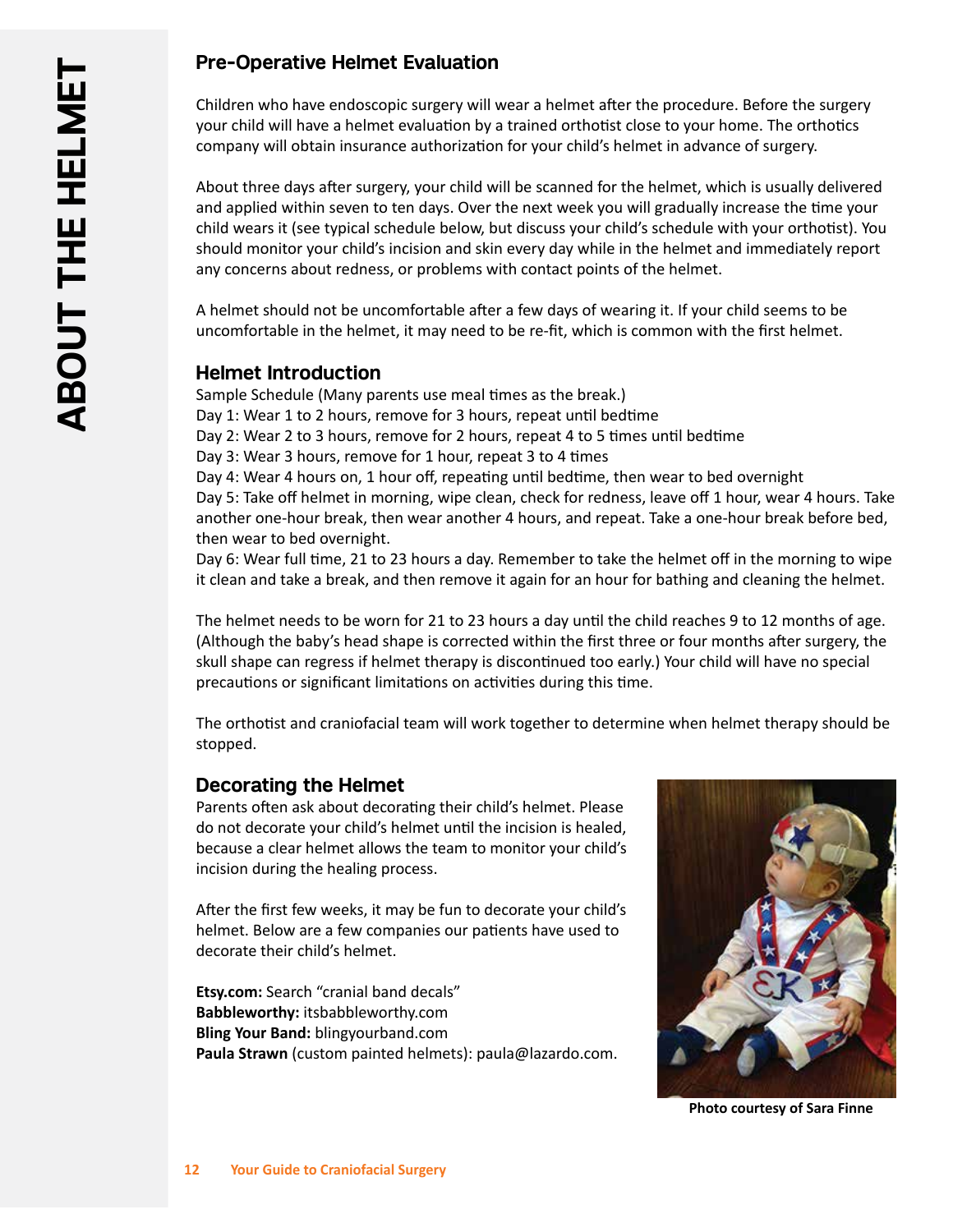## **Pre-Operative Helmet Evaluation**

Children who have endoscopic surgery will wear a helmet after the procedure. Before the surgery your child will have a helmet evaluation by a trained orthotist close to your home. The orthotics company will obtain insurance authorization for your child's helmet in advance of surgery.

About three days after surgery, your child will be scanned for the helmet, which is usually delivered and applied within seven to ten days. Over the next week you will gradually increase the time your child wears it (see typical schedule below, but discuss your child's schedule with your orthotist). You should monitor your child's incision and skin every day while in the helmet and immediately report any concerns about redness, or problems with contact points of the helmet.

A helmet should not be uncomfortable after a few days of wearing it. If your child seems to be uncomfortable in the helmet, it may need to be re-fit, which is common with the first helmet.

#### **Helmet Introduction**

Sample Schedule (Many parents use meal times as the break.) Day 1: Wear 1 to 2 hours, remove for 3 hours, repeat until bedtime

- Day 2: Wear 2 to 3 hours, remove for 2 hours, repeat 4 to 5 times until bedtime
- Day 3: Wear 3 hours, remove for 1 hour, repeat 3 to 4 times

Day 4: Wear 4 hours on, 1 hour off, repeating until bedtime, then wear to bed overnight Day 5: Take off helmet in morning, wipe clean, check for redness, leave off 1 hour, wear 4 hours. Take another one-hour break, then wear another 4 hours, and repeat. Take a one-hour break before bed, then wear to bed overnight.

Day 6: Wear full time, 21 to 23 hours a day. Remember to take the helmet off in the morning to wipe it clean and take a break, and then remove it again for an hour for bathing and cleaning the helmet.

The helmet needs to be worn for 21 to 23 hours a day until the child reaches 9 to 12 months of age. (Although the baby's head shape is corrected within the first three or four months after surgery, the skull shape can regress if helmet therapy is discontinued too early.) Your child will have no special precautions or significant limitations on activities during this time.

The orthotist and craniofacial team will work together to determine when helmet therapy should be stopped.

#### **Decorating the Helmet**

Parents often ask about decorating their child's helmet. Please do not decorate your child's helmet until the incision is healed, because a clear helmet allows the team to monitor your child's incision during the healing process.

After the first few weeks, it may be fun to decorate your child's helmet. Below are a few companies our patients have used to decorate their child's helmet.

**Etsy.com:** Search "cranial band decals" **Babbleworthy:** itsbabbleworthy.com **Bling Your Band:** blingyourband.com **Paula Strawn** (custom painted helmets): paula@lazardo.com.



**Photo courtesy of Sara Finne**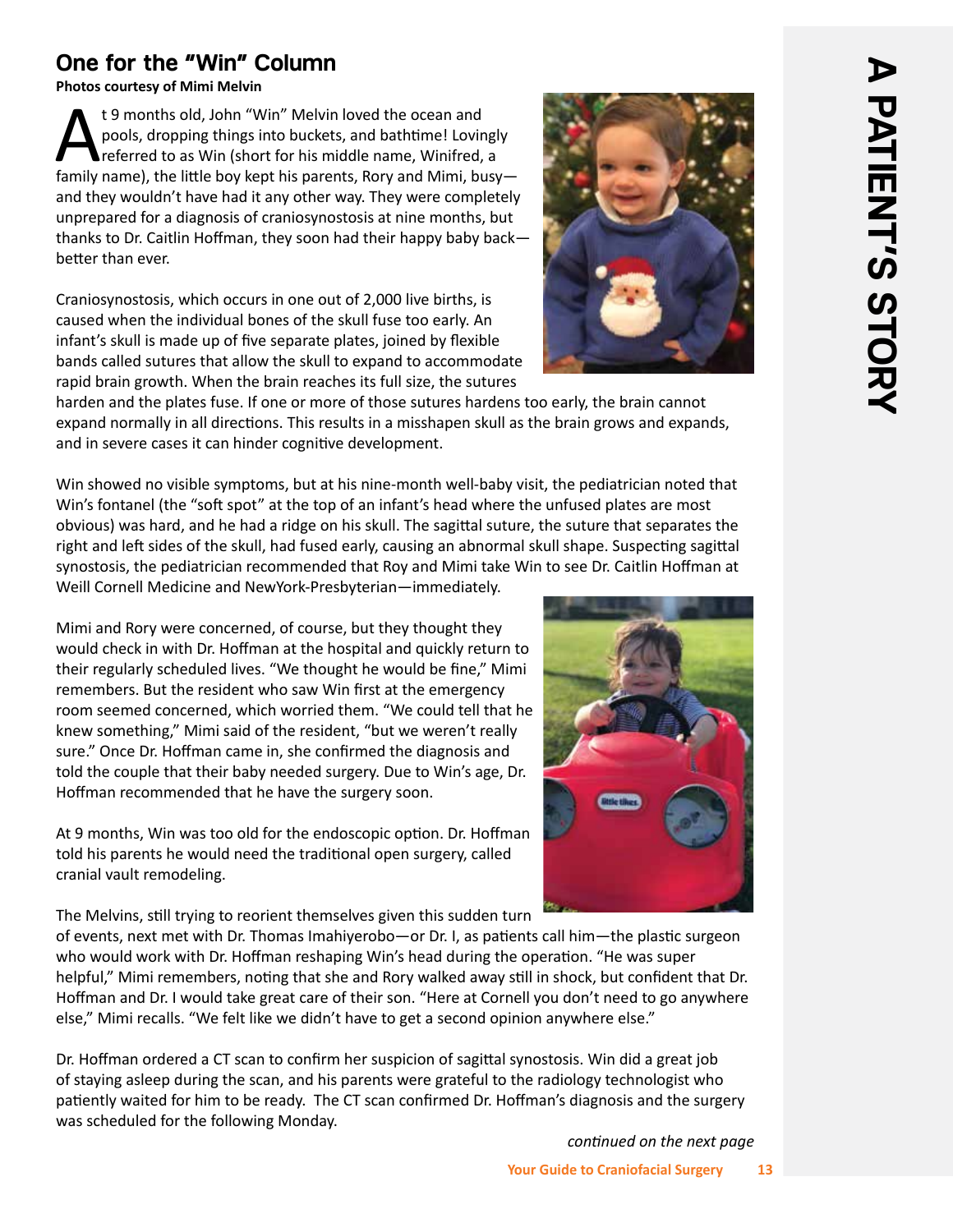# **One for the "Win" Column**

**Photos courtesy of Mimi Melvin**

t 9 months old, John "Win" Melvin loved the ocean and<br>pools, dropping things into buckets, and bathtime! Lovin<br>family name) the little boy kent his parents. Bory and Mimi, but pools, dropping things into buckets, and bathtime! Lovingly referred to as Win (short for his middle name, Winifred, a family name), the little boy kept his parents, Rory and Mimi, busy and they wouldn't have had it any other way. They were completely unprepared for a diagnosis of craniosynostosis at nine months, but thanks to Dr. Caitlin Hoffman, they soon had their happy baby back better than ever.

Craniosynostosis, which occurs in one out of 2,000 live births, is caused when the individual bones of the skull fuse too early. An infant's skull is made up of five separate plates, joined by flexible bands called sutures that allow the skull to expand to accommodate rapid brain growth. When the brain reaches its full size, the sutures



harden and the plates fuse. If one or more of those sutures hardens too early, the brain cannot expand normally in all directions. This results in a misshapen skull as the brain grows and expands, and in severe cases it can hinder cognitive development.

Win showed no visible symptoms, but at his nine-month well-baby visit, the pediatrician noted that Win's fontanel (the "soft spot" at the top of an infant's head where the unfused plates are most obvious) was hard, and he had a ridge on his skull. The sagittal suture, the suture that separates the right and left sides of the skull, had fused early, causing an abnormal skull shape. Suspecting sagittal synostosis, the pediatrician recommended that Roy and Mimi take Win to see Dr. Caitlin Hoffman at Weill Cornell Medicine and NewYork-Presbyterian—immediately.

Mimi and Rory were concerned, of course, but they thought they would check in with Dr. Hoffman at the hospital and quickly return to their regularly scheduled lives. "We thought he would be fine," Mimi remembers. But the resident who saw Win first at the emergency room seemed concerned, which worried them. "We could tell that he knew something," Mimi said of the resident, "but we weren't really sure." Once Dr. Hoffman came in, she confirmed the diagnosis and told the couple that their baby needed surgery. Due to Win's age, Dr. Hoffman recommended that he have the surgery soon.

At 9 months, Win was too old for the endoscopic option. Dr. Hoffman told his parents he would need the traditional open surgery, called cranial vault remodeling.

The Melvins, still trying to reorient themselves given this sudden turn

of events, next met with Dr. Thomas Imahiyerobo—or Dr. I, as patients call him—the plastic surgeon who would work with Dr. Hoffman reshaping Win's head during the operation. "He was super helpful," Mimi remembers, noting that she and Rory walked away still in shock, but confident that Dr. Hoffman and Dr. I would take great care of their son. "Here at Cornell you don't need to go anywhere else," Mimi recalls. "We felt like we didn't have to get a second opinion anywhere else."

Dr. Hoffman ordered a CT scan to confirm her suspicion of sagittal synostosis. Win did a great job of staying asleep during the scan, and his parents were grateful to the radiology technologist who patiently waited for him to be ready. The CT scan confirmed Dr. Hoffman's diagnosis and the surgery was scheduled for the following Monday.

*continued on the next page* 

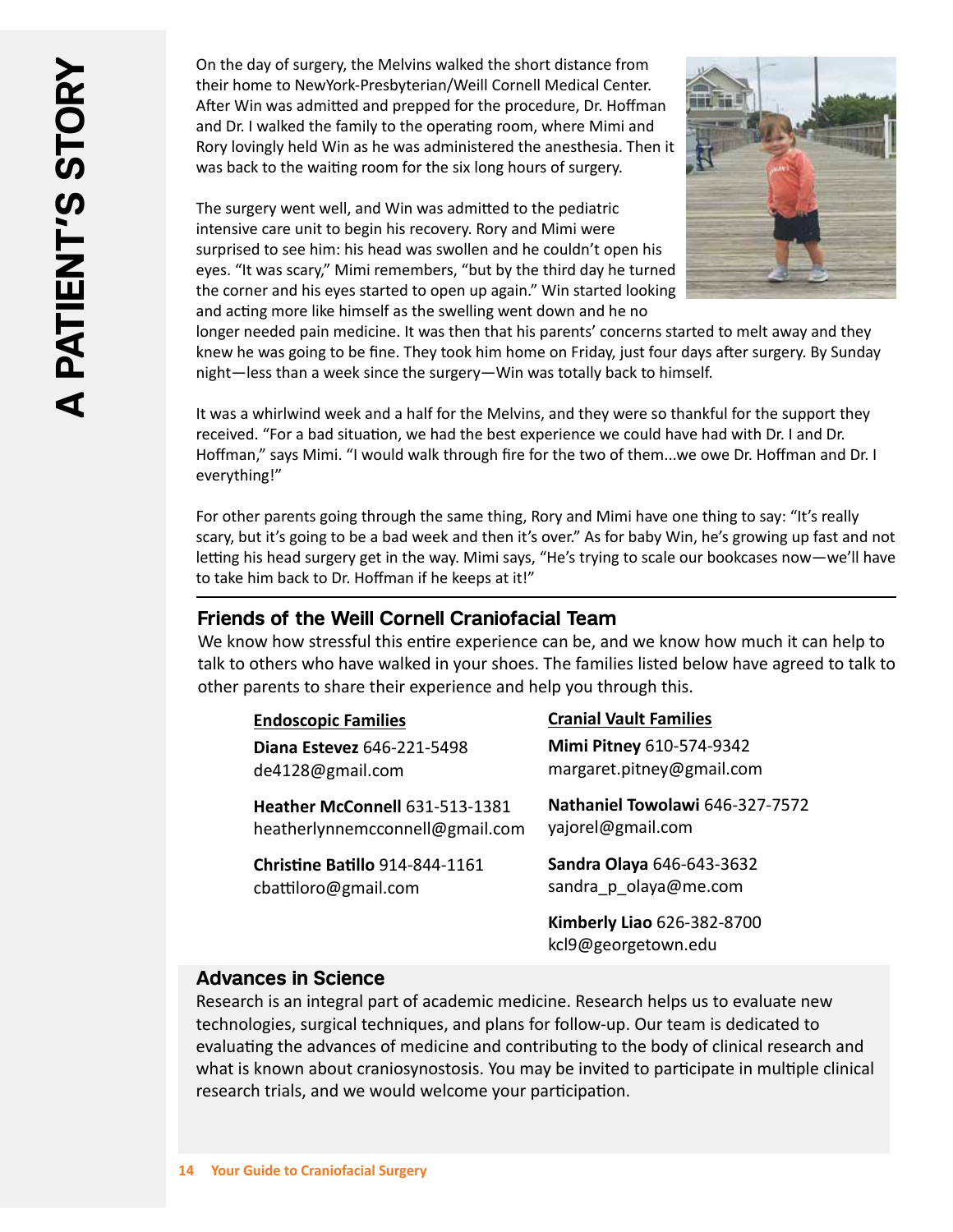On the day of surgery, the Melvins walked the short distance from their home to NewYork-Presbyterian/Weill Cornell Medical Center. After Win was admitted and prepped for the procedure, Dr. Hoffman and Dr. I walked the family to the operating room, where Mimi and Rory lovingly held Win as he was administered the anesthesia. Then it was back to the waiting room for the six long hours of surgery.

The surgery went well, and Win was admitted to the pediatric intensive care unit to begin his recovery. Rory and Mimi were surprised to see him: his head was swollen and he couldn't open his eyes. "It was scary," Mimi remembers, "but by the third day he turned the corner and his eyes started to open up again." Win started looking and acting more like himself as the swelling went down and he no



longer needed pain medicine. It was then that his parents' concerns started to melt away and they knew he was going to be fine. They took him home on Friday, just four days after surgery. By Sunday night—less than a week since the surgery—Win was totally back to himself.

It was a whirlwind week and a half for the Melvins, and they were so thankful for the support they received. "For a bad situation, we had the best experience we could have had with Dr. I and Dr. Hoffman," says Mimi. "I would walk through fire for the two of them...we owe Dr. Hoffman and Dr. I everything!"

For other parents going through the same thing, Rory and Mimi have one thing to say: "It's really scary, but it's going to be a bad week and then it's over." As for baby Win, he's growing up fast and not letting his head surgery get in the way. Mimi says, "He's trying to scale our bookcases now—we'll have to take him back to Dr. Hoffman if he keeps at it!"

#### **Friends of the Weill Cornell Craniofacial Team**

We know how stressful this entire experience can be, and we know how much it can help to talk to others who have walked in your shoes. The families listed below have agreed to talk to other parents to share their experience and help you through this.

| <b>Endoscopic Families</b>        | <b>Cranial Vault Families</b>                     |
|-----------------------------------|---------------------------------------------------|
| <b>Diana Estevez 646-221-5498</b> | Mimi Pitney 610-574-9342                          |
| de4128@gmail.com                  | margaret.pitney@gmail.com                         |
| Heather McConnell 631-513-1381    | Nathaniel Towolawi 646-327-7572                   |
| heatherlynnemcconnell@gmail.com   | yajorel@gmail.com                                 |
| Christine Batillo 914-844-1161    | Sandra Olaya 646-643-3632                         |
| cbattiloro@gmail.com              | sandra p olaya@me.com                             |
|                                   | Kimberly Liao 626-382-8700<br>kcl9@georgetown.edu |

#### **Advances in Science**

Research is an integral part of academic medicine. Research helps us to evaluate new technologies, surgical techniques, and plans for follow-up. Our team is dedicated to evaluating the advances of medicine and contributing to the body of clinical research and what is known about craniosynostosis. You may be invited to participate in multiple clinical research trials, and we would welcome your participation.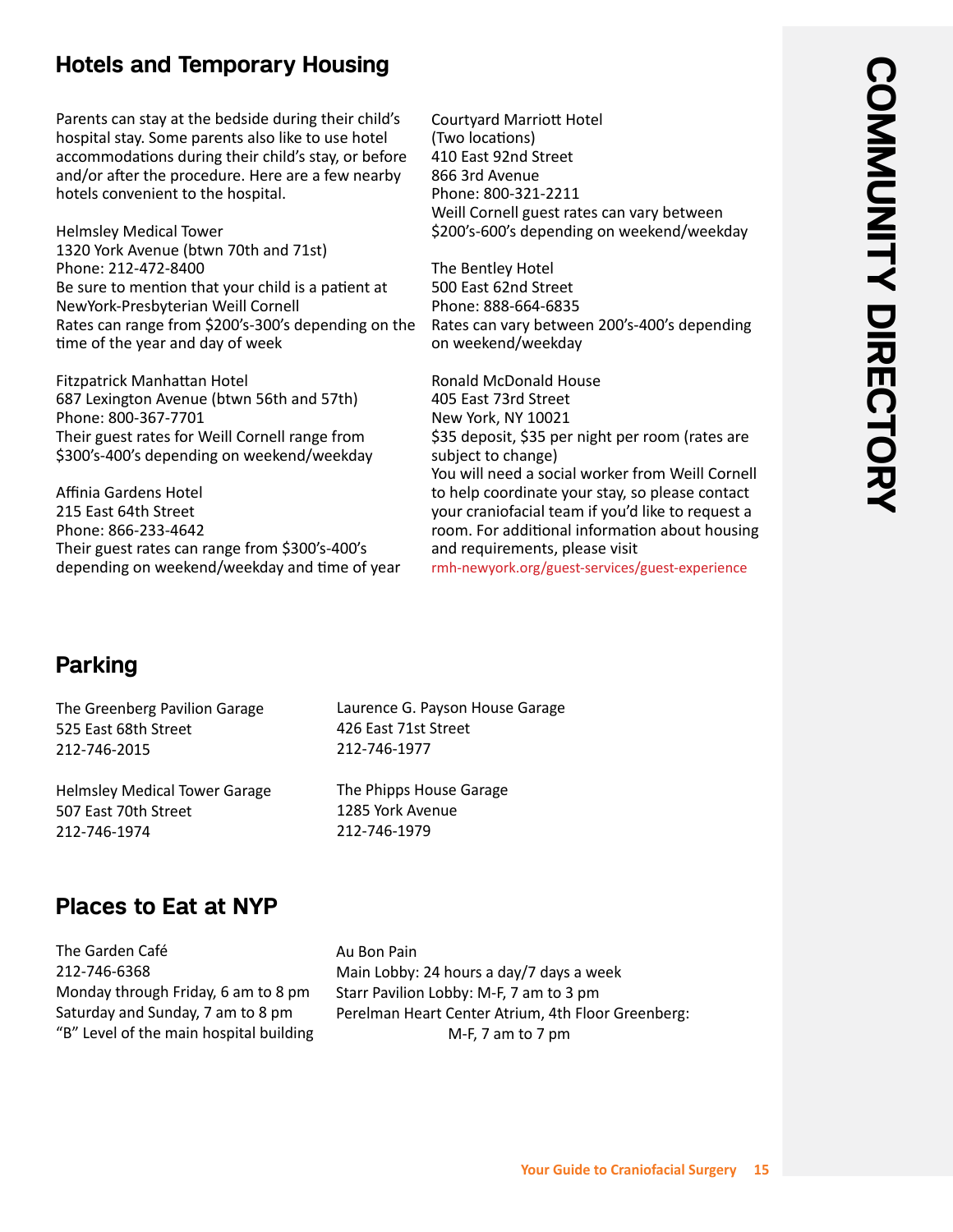# **Hotels and Temporary Housing**

Parents can stay at the bedside during their child's hospital stay. Some parents also like to use hotel accommodations during their child's stay, or before and/or after the procedure. Here are a few nearby hotels convenient to the hospital.

Helmsley Medical Tower 1320 York Avenue (btwn 70th and 71st) Phone: 212-472-8400 Be sure to mention that your child is a patient at NewYork-Presbyterian Weill Cornell Rates can range from \$200's-300's depending on the time of the year and day of week

Fitzpatrick Manhattan Hotel 687 Lexington Avenue (btwn 56th and 57th) Phone: 800-367-7701 Their guest rates for Weill Cornell range from \$300's-400's depending on weekend/weekday

Affinia Gardens Hotel 215 East 64th Street Phone: 866-233-4642 Their guest rates can range from \$300's-400's depending on weekend/weekday and time of year Courtyard Marriott Hotel (Two locations) 410 East 92nd Street 866 3rd Avenue Phone: 800-321-2211 Weill Cornell guest rates can vary between \$200's-600's depending on weekend/weekday

The Bentley Hotel 500 East 62nd Street Phone: 888-664-6835 Rates can vary between 200's-400's depending on weekend/weekday

Ronald McDonald House 405 East 73rd Street New York, NY 10021 \$35 deposit, \$35 per night per room (rates are subject to change) You will need a social worker from Weill Cornell to help coordinate your stay, so please contact your craniofacial team if you'd like to request a room. For additional information about housing and requirements, please visit

#### rmh-newyork.org/guest-services/guest-experience

# **Parking**

The Greenberg Pavilion Garage 525 East 68th Street 212-746-2015

Helmsley Medical Tower Garage 507 East 70th Street 212-746-1974

Laurence G. Payson House Garage 426 East 71st Street 212-746-1977

The Phipps House Garage 1285 York Avenue 212-746-1979

# **Places to Eat at NYP**

The Garden Café 212-746-6368 Monday through Friday, 6 am to 8 pm Saturday and Sunday, 7 am to 8 pm "B" Level of the main hospital building Au Bon Pain Main Lobby: 24 hours a day/7 days a week Starr Pavilion Lobby: M-F, 7 am to 3 pm Perelman Heart Center Atrium, 4th Floor Greenberg: M-F, 7 am to 7 pm